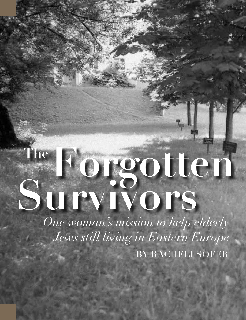## **Survivors Forgotten The**

*One woman's mission to help elderly Jews still living in Eastern Europe* BY RACHELI SOFER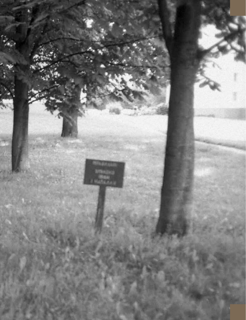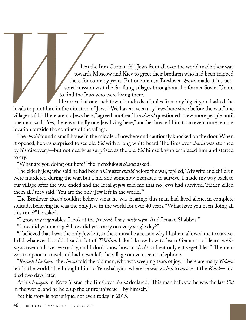hen the Iron Curtain fell, Jews from all over the world made their way towards Moscow and Kiev to greet their brethren who had been trapped there for so many years. But one man, a Breslover *chasid*, made it his personal mission visit the far-flung villages throughout the former Soviet Union to find the Jews who were living there.

He arrived at one such town, hundreds of miles from any big city, and asked the locals to point him in the direction of Jews. "We haven't seen any Jews here since before the war," one villager said. "There are no Jews here," agreed another. The *chasid* questioned a few more people until one man said, "Yes, there is actually one Jew living here," and he directed him to an even more remote location outside the confines of the village. **Example 19**<br> **Example 19**<br> **Example 19**<br> **Example 19**<br> **Example 19**<br> **Example 19**<br> **Example 19**<br> **Example 19**<br> **Example 19**<br> **Example 19**<br> **Example 19**<br> **Example 19**<br> **Example 19**<br> **Example 19**<br> **Example 19**<br> **Example 19** 

The *chasid* found a small house in the middle of nowhere and cautiously knocked on the door. When it opened, he was surprised to see old *Yid* with a long white beard. The Breslover *chasid* was stunned by his discovery—but not nearly as surprised as the old *Yid* himself, who embraced him and started to cry.

"What are you doing out here?" the incredulous *chasid* asked.

The elderly Jew, who said he had been a Chuster *chasid* before the war, replied, "My wife and children were murdered during the war, but I hid and somehow managed to survive. I made my way back to our village after the war ended and the local *goyim* told me that no Jews had survived. 'Hitler killed them all,' they said. 'You are the only Jew left in the world.'"

The Breslover *chasid* couldn't believe what he was hearing: this man had lived alone, in complete solitude, believing he was the only Jew in the world for over 40 years. "What have you been doing all this time?" he asked.

"I grow my vegetables. I look at the *parshah.* I say *mishnayos*. And I make Shabbos."

"How did you manage? How did you carry on every single day?"

"I believed that I was the only Jew left, so there must be a reason why Hashem allowed me to survive. I did whatever I could. I said a lot of *Tehillim*. I don't know how to learn Gemara so I learn *mishnayos* over and over every day, and I don't know how to *shecht* so I eat only eat vegetables." The man was too poor to travel and had never left the village or even seen a telephone.

"*Baruch Hashem*," the *chasid* told the old man, who was weeping tears of joy. "There are many *Yidden* left in the world." He brought him to Yerushalayim, where he was *zocheh* to *daven* at the *Kosel*—and died two days later.

At his *levayah* in Eretz Yisrael the Breslover *chasid* declared, "This man believed he was the last *Yid* in the world, and he held up the entire universe—by himself."

Yet his story is not unique, not even today in 2015.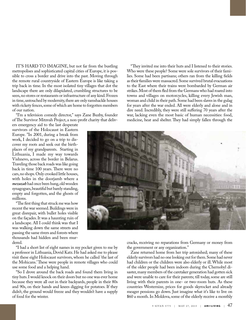IT'S HARD TO IMAGINE, but not far from the bustling metropolises and sophisticated capital cities of Europe, it is possible to cross a border and drive into the past. Moving through the remote rural countryside of Eastern Europe is like taking a trip back in time. In the most isolated tiny villages that dot the landscape there are only dilapidated, crumbling structures to be seen, no stores or restaurants or infrastructure of any kind. Frozen in time, untouched by modernity, there are only ramshackle houses with rickety fences, some of which are home to forgotten members of our nation.

"I'm a television comedy director," says Zane Buzby, founder of The Survivor Mitzvah Project, a non-profit charity that deliv-

ers emergency aid to the last desperate survivors of the Holocaust in Eastern Europe. "In 2001, during a break from work, I decided to go on a trip to discover my roots and seek out the birthplaces of my grandparents. Starting in Lithuania, I made my way towards Vishnevo, across the border in Belarus. Traveling those back roads was like going back in time 100 years. There were no cars, no shops. Only crooked little houses, with holes in the doorjamb where a *mezuzah* had once been hung, old wooden synagogues, beautiful but barely standing, empty and forgotten, and the ghosts of millions.

"The first thing that struck me was how recent the war seemed. Buildings were in great disrepair, with bullet holes visible on the façades. It was a haunting ruin of a landscape. All I could think was that I was walking down the same streets and passing the same rivers and forests where thousands had hidden and been murdered.

"I had a short list of eight names in my pocket given to me by a professor in Lithuania, Dovid Katz. He had asked me to please visit these eight Holocaust survivors, whom he called 'the last of the Mohicans.' These were people in remote villages who could use some food and a helping hand.

"So I drove around the back roads and found them living in tiny huts. I would knock on their doors but no one was ever home because they were all out in their backyards, people in their 80s and 90s, on their hands and knees digging for potatoes. If they didn't, the ground would freeze and they wouldn't have a supply of food for the winter.

"They invited me into their huts and I listened to their stories. Who were these people? Some were sole survivors of their families. Some had been partisans; others ran from the killing fields as their families were massacred. Some survived brutal evacuations to the East where their trains were bombarded by German air strikes. Most of them fled from the Germans who had roared into towns and villages on motorcycles, killing every Jewish man, woman and child in their path. Some had been slaves in the gulag for years after the war ended. All were elderly and alone and in dire need. Incredibly, they were still suffering 70 years after the war, lacking even the most basic of human necessities: food, medicine, heat and shelter. They had simply fallen through the



cracks, receiving no reparations from Germany or money from the government or any organization."

Zane returned home from her trip astonished; many of these elderly survivors had no one looking out for them. Some had never had children or the children were also elderly or ill. While most of the older people had been indoors during the Chernobyl disaster, many members of the caretaker generation had gotten sick and were unable to care for their parents; till today, some are still living with their parents in one- or two-room huts. As these countries Westernize, prices for goods skyrocket and already meager pensions go down. Just imagine what it's like to live on \$60 a month. In Moldova, some of the elderly receive a monthly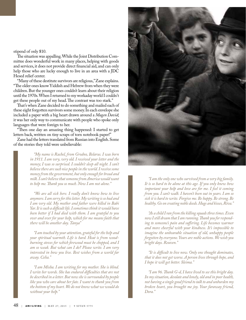stipend of only \$10.

The situation was appalling. While the Joint Distribution Committee does wonderful work in many places, helping with goods and services, it does not provide direct financial aid, and can only help those who are lucky enough to live in an area with a JDC Hesed relief center.

"Many of these destitute survivors are religious," Zane explains. "The older ones know Yiddish and Hebrew from when they were children. But the younger ones couldn't learn about their religion until the 1970s. When I returned to my workaday world I couldn't get these people out of my head. The contrast was too stark."

That's when Zane decided to do something and mailed each of these eight forgotten survivors some money. In each envelope she included a paper with a big heart drawn around a *Magen David*; it was her only way to communicate with people who spoke only languages that were foreign to her.

"Then one day an amazing thing happened: I started to get letters back, written on tiny scraps of torn notebook paper!"

Zane had the letters translated from Russian into English. Some of the stories they told were unbelievable:

> *"My name is Rachel, from Grodno, Belarus. I was born in 1911. I am very, very old. I received your letter and the money; I was so surprised. I couldn't sleep all night. I can't believe there are such nice people in the world. I receive some money from the government, but only enough for bread and milk. I can't believe that someone from America would want to help me. Thank you so much. Now I am not alone."*

> *"We are all sick here. I really don't know how to live anymore. I am sorry for this letter. My writing is so bad and I am very old. My mother and father were killed in Babi Yar. It is such a difficult life. I sometimes think it would have been better if I had died with them. I am grateful to you over and over for your help, which for me means faith that there will be another day. Tanya"*

> *"I am touched by your attention, grateful for the help and your spiritual warmth. Life is hard. Heat is from woodburning stoves for which firewood must be chopped, and I am so weak. But what can I do? Please write. I am very interested in how you live. Best wishes from a world far away. Celia."*

> *"I am Misha. I am writing for my mother. She is blind. I write her words. She has endured difficulties that are not be described in a letter. But now she is surrounded by people like you who care about her fate. I want to thank you from the bottom of my heart. We do not know what we would do without your help."*



*"I am the only one who survived from a very big family. It is so hard to be alone at this age. If you only knew how important your help and love are for me. I feel it coming from you. I can't walk. I haven't been out in years. I am so sick it is hard to write. Forgive me. Be happy. Be strong. Be healthy. Go on creating noble deeds. Hugs and kisses, Riva."*

*"As a child I ran from the killing squads three times. Even now I still dream that I am running. Thank you for responding to someone's pain and suffering. Life becomes warmer and more cheerful with your kindness. It's impossible to imagine the unbearable situation of old, unhappy people forgotten by everyone. Yours are noble actions. We wish you bright days. Reuven."*

*"It is difficult to live now. Only one thought dominates, that it does not get worse. A person lives through hope, and I hope it will get better. Sleima."*

*"I am 96. Thank G-d, I have lived to see this bright day. In my situation, desolate and lonely, old and in poor health, not having a single good friend to talk to and unburden my broken heart, you brought me joy. Your faraway friend, Dora."*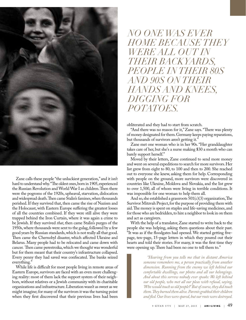

Zane calls these people "the unluckiest generation," and it isn't hard to understand why. "The oldest ones, born in 1905, experienced the Russian Revolution and World War I as children. Then there were the pogroms of the 1920s, upheaval, starvation, dislocation and widespread death. Then came Stalin's famines, when thousands perished. If they survived that, then came the rise of Nazism and the Holocaust, with Eastern Europe suffering the greatest losses of all the countries combined. If they were still alive they were trapped behind the Iron Curtain, where it was again a crime to be Jewish. If they survived *that*, then came Stalin's purges of the 1950s, where thousands were sent to the gulag, followed by a few good years by Russian standards, which is not really all that good. Then came the Chernobyl disaster, which affected Ukraine and Belarus. Many people had to be relocated and came down with cancer. Then came perestroika, which we thought was wonderful but for them meant that their country's infrastructure collapsed. Every penny they had saved was confiscated. The banks seized everything."

While life is difficult for most people living in remote areas of Eastern Europe, survivors are faced with an even more challenging reality: most of them lack the support system of their neighbors, without relatives or a Jewish community with its charitable organizations and infrastructure. Liberation wasn't as sweet as we might imagine; for many of the survivors it was the turning point when they first discovered that their previous lives had been

*NO ONE WAS EVER HOME BECAUSE THEY WERE ALL OUT IN THEIR BACKYARDS, PEOPLE IN THEIR 80S AND 90S ON THEIR HANDS AND KNEES, DIGGING FOR POTATOES.*

obliterated and they had to start from scratch.

"And there was no reason for it," Zane says. "There was plenty of money designated for them. Germany keeps paying reparations, but thousands of survivors aren't getting it."

Zane met one woman who is in her 90s. "Her granddaughter takes care of her, but she's a nurse making \$30 a month who can barely support herself."

Moved by their letters, Zane continued to send more money and went on several expeditions to search for more survivors. Her list grew from eight to 80, to 100 and then to 200. She reached out to everyone she knew, asking them for help. Corresponding with people on the ground, more survivors were discovered in countries like Ukraine, Moldova and Slovakia, and the list grew to over 1,500, all of whom were living in terrible conditions. It was impossible for one woman to help them all.

And so, she established a grassroots 501(c)(3) organization, The Survivor Mitzvah Project, for the purpose of providing them with aid. The money is spent on staples and life-saving medicines, and for those who are bedridden, to hire a neighbor to look in on them and act as caregivers.

With the help of a translator, Zane started to write back to the people she was helping, asking them questions about their past. "It was as if the floodgates had opened. We started getting fivepage, ten-page, 15-page letters in which they poured out their hearts and told their stories. For many, it was the first time they were opening up. There had been no one to tell them to."

> *"Hearing from you tells me that in distant America someone remembers me, a person practically from another dimension. Running from the enemy we left behind our comfortable dwellings, our photos and all our belongings. And about this sorrow nobody ever speaks: We left behind our old people, who met all our pleas with refusal, saying, 'Who would touch us old people?' But of course, they did touch them. They burned them alive. Parents grabbed their children and fled. Our lives were spared, but our roots were destroyed.*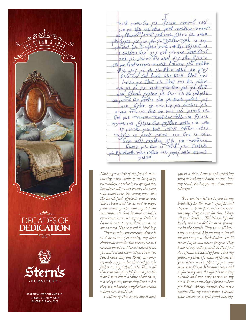



5231 NEW UTRECHT AVENUE, BROOKLYN, NEW YORK PHONE: 718.686.7421

 $27m<sub>o</sub>$   $\mu$   $/3$  $C/m_1 \odot$ like 21/2 flus perf residence  $rrr\mu$   $25$  $C_{1000}$ **JUN**  $y \vee w_{\alpha}$  $\frac{1}{\sqrt{2}}$  $\frac{10 \text{ m/s}}{e}$  $f|_{\alpha^2}$  10  $\left\{ \cdots \right\}$ ars fle plates  $f_{19}$ "Jo  $g'$   $f'$   $g'$   $g'$   $g'$   $h$  $2^{\prime\prime}$  Cin  $rx3 - y3 + y3$  $1/5/6$   $1/2$   $2^{1/6}$  $r2'4$  $Q_0 \Omega$   $\gamma$   $Q_0$   $S_0$   $\gamma$   $\gamma$   $\gamma$   $\gamma$   $\lambda$   $\lambda$  $17/1012$  $_{PL}$  $o(d)$  *(fmalo*  $2^{\int_{c} 0}$   $2^{\int_{c} 0$   $\int_{c} 0$   $13^{\int_{c} 0}$   $\int_{c}$   $\int_{c}$   $\int_{c}$  $1.9226$  Gir  $1.573.2$  $211 = 617$   $112$   $1213612$  $3 - 2$  21/0  $1121176$  $24\%$  $\gamma$  show  $\gamma$  and  $\gamma$  $\gamma_2 \gamma_1$  $G_N$   $\lfloor n / |l_1| \rfloor$   $\lfloor 2 \rfloor$   $\lfloor n / |l_2| \rfloor$   $\lfloor 0 \rfloor$  $19.9, 611$  $G_{1}$   $c_{2}$  $12^{11}2^{1}$ ,  $2^{11}$   $2^{11}$   $2^{11}$   $2^{11}$   $2^{11}$  $191126$  $21N$   $G2$  $13 / 164$ rivyle  $\frac{3}{\sqrt{2}}$  $110 \gamma$  $U_{100}$   $010/$  $G\cup_{0}$  of  $\frac{1}{2}$  of  $\frac{1}{2}$  of  $\frac{1}{2}$   $\frac{1}{2}$   $\frac{1}{2}$   $\frac{1}{2}$   $\frac{1}{2}$   $\frac{1}{2}$   $\frac{1}{2}$   $\frac{1}{2}$ glo 8 porcorile miles ricks alle prolocation or ale3  $913/2$ 

*Nothing was left of the Jewish community, not a memory, no language, no holidays, no schools, no synagogues, but above all no old people, the roots who could raise the young ones, like the Earth feeds offshoots and leaves. These shoots and leaves had to begin from nothing. This nothing did not remember its G-d because it didn't even know its own language. It didn't know how to pray and there was no one to teach. No one to guide. Nothing.* 

*"That is why our correspondence is so dear to me, personally, my dear American friends. You are my roots. I save all the letters I have received from you and reread them often. From the past I have only one thing, one photograph: my grandmother and grandfather on my father's side. This is all that remains of my life from before the war. I don't know a thing about them, who they were, where they lived, what they did, what they laughed about and whom they cried over.* 

*I will bring this conversation with* 

*you to a close. I am simply speaking with you about whatever comes into my head. Be happy, my dear ones. Mariya."*

*"I've written letters to you in my head. My health, heart, eyesight and depression have prevented me from writing. Forgive me for this. I keep all your letters…The Nazis left me lonely and wounded. I was the youngest in the family. They were all brutally murdered. My mother, with all the old ones, was buried alive. I will never forget and never forgive. They bombed my village, and on that first day of war, the 22nd of June, I lost my youth, my closest friends, my home. In your letter was a photo of you, my American friend. It became warm and joyful in my soul, though it is snowing outside and not very warm in my room. In your envelope I found a check for \$400. Many thanks.You have become like my own family. I await your letters as a gift from destiny.*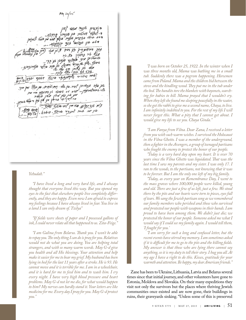sapa ngih 10x12/10 רי לאצור וואלאיב כון וונאירו קרבולת END CHELLAD STEEL CHE HOO AND CON SIDE ollariz 313 rollzh jih oha בני הורותו<br>קייבת הורות ומות bas lo bizionizis party als size  $26.50$ יוויסדייקן זייון - פנופני וועשלן אל הרי Anders 2nd SLOOP ADDENLINGS orger vpp43 .<br>ואת בואה אנשיכיםן קיבוד. בון יולד: ימים יטובים- און כבר: זוק זייך .<br>ולדי מים ידי המים ואת דיואדי יאקוילדיותן "ניזוד. בין האלך ממיילות מן ישן ואין זניין זניין זניין זניין זניין זניין זניין זניין זנ<br>יואד האינטראיבנטין.... "נאליש ז'כן ואינקודי האין המוזיקוקיון בינו זנופ<br>- אלו האנדמוביאלה סול ניזוד אויניג דיני  $f^{up}$  240  $f/2$   $f/3$   $f/2$   $f/3$ פין יאד אייאל ליסודר  $k$ 2/03.5420

## *Yehudah."*

*"I have lived a long and very hard life, and I always thought that everyone lived this way. But you opened my eyes to the fact that elsewhere people live completely differently, and they are happy. Even now I am afraid to express my feelings because I have always lived in fear. You live in a land I can only dream of. Tzilya"* 

*"If fields were sheets of paper and I possessed gallons of ink, I could never relate all that happened to us. Zita-Feige."*

*"I am Galina from Belarus. Thank you. I won't be able to repay you. The only thing I can do is pray for you. Relatives would not do what you are doing. You are helping total strangers, and with so many warm words. May G-d give you health and all His blessings. Your attention and help make it easier for me to bear my grief. My husband has been lying in bed for the last 11 years after a stroke. He is 93. He cannot move and it is terrible for me. I am in a wheelchair, and it is hard for me to feed him and to wash him. I cry every night. I have very high blood pressure and heart problems. May G-d not let me die, for what would happen to him? My nerves can hardly stand it. Your letters are like medicine for me. Every day I pray for you. May G-d protect you."*

*"I was born on October 25, 1922. In the winter when I was three months old, Mama was bathing me in a small tub. Suddenly there was a pogrom happening. Horsemen came from Poland. Mama and the children hid between the stove and the kindling wood. They put me in the tub under the bed. The bandits tore the blankets with bayonets, searching for babies to kill. Mama prayed that I wouldn't cry. When they left she found me sleeping peacefully in the water, so she got the rabbi to give me a second name, Chaya, to live. I am infinitely indebted to you. For the rest of my life I will never forget this. What a pity that I cannot get about. I would give my life to see you. Chaya Ginda."*

*"I am Fanya from Vilna. Dear Zana, I received a letter from you with such warm wishes. I survived the Holocaust in the Vilna Ghetto. I was a member of the underground, then a fighter in the Avengers, a group of teenaged partisans who fought the enemy to protect the honor of our people.* 

*"Today is a very hard day upon my heart. It is over 70 years since the Vilna Ghetto was liquidated. That was the last time I saw my parents and my sister. I was only 17. I ran to the woods, to the partisans, not knowing that it was to be forever. But I am the only one left of my big family.* 

*"Today, as every year on Remembrance Day, I went to the mass graves where 100,000 people were killed, young and old. There are just a few of us left, just a few. We stood there by the pits and our hearts were torn to pieces, eyes full of tears. We sang the Jewish partisan song as we remembered our family members who perished and those who survived and protected our people with weapons in their hands. I am proud to have been among them. We didn't just die; we protected the honor of our people. Someone asked me what I would say if I could see my family again. I would tell them, 'I fought for you.'* 

*"I am sorry for such a long and confused letter, but the recent events have stirred my memory. I am sometimes asked if it is difficult for me to go to the pits and the killing fields. My answer is that those who are lying there cannot say anything, so it is my duty to tell their story. I hug you all. At my age I have a right to do this. Kisses, gratitude for your warmth and attention. Be happy, my dear American friends."*

Zane has been to Ukraine, Lithuania, Latvia and Belarus several times since that initial journey, and other volunteers have gone to Estonia, Moldova and Slovakia. On their many expeditions they visit not only the survivors but the places where thriving Jewish communities once existed and are now gone, their buildings in ruins, their graveyards sinking. "Unless some of this is preserved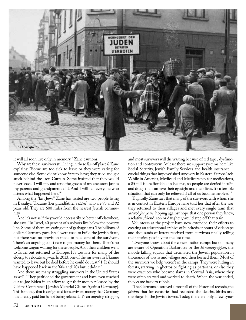

it will all soon live only in memory, " Zane cautions.

Why are these survivors still living in these far-off places? Zane explains: "Some are too sick to leave or they were caring for someone else. Some didn't know *how* to leave; they tried and got stuck behind the Iron Curtain. Some insisted that they would never leave. 'I will stay and tend the graves of my ancestors just as my parents and grandparents did. And I will tell everyone who listens what happened here.'"

Among the "last Jews" Zane has visited are two people living in Bazaliya, Ukraine (her grandfather's *shtetl*) who are 93 and 92 years old. They are 600 miles from the nearest Jewish community.

And it's not as if they would necessarily be better off elsewhere, she says. "In Israel, 40 percent of survivors live below the poverty line. Some of them are eating out of garbage cans. The billions of dollars Germany gave Israel were used to build the Jewish State, but there was no provision made to take care of the survivors. There's an ongoing court case to get money for them. There's no welcome wagon waiting for these people. A lot their children went to Israel but returned to Europe. It's too late for many of the elderly to relocate anyway. In 2013, one of the survivors in Ukraine wanted to leave but he died before he could do it, at 91. It should have happened back in the '60s and '70s but it didn't."

And there are many struggling survivors in the United States as well. "They petitioned the government and have even reached out to Joe Biden in an effort to get their money released by the Claims Conference [Jewish Material Claims Against Germany]. This is money that is designated for survivors, money that Germany has already paid but is not being released. It's an ongoing struggle, and most survivors will die waiting because of red tape, dysfunction and controversy. At least there are support systems here like Social Security, Jewish Family Services and health insurance crucial things that impoverished survivors in Eastern Europe lack. While in America, Medicaid and Medicare pay for medications, a \$5 pill is unaffordable in Belarus, so people are denied insulin and drugs that can save their eyesight and their lives. It's a terrible situation that can only be relieved if all of us become involved."

Tragically, Zane says that many of the survivors with whom she is in contact in Eastern Europe have told her that after the war they returned to their villages and met every single train that arrived *for years,* hoping against hope that one person they knew, a relative, friend, son or daughter, would step off that train.

Volunteers at the project have now extended their efforts to creating an educational archive of hundreds of hours of videotape and thousands of letters received from survivors finally telling their stories, possibly for the last time.

"Everyone knows about the concentration camps, but not many are aware of Operation Barbarossa or the *Einsatzgruppen*, the mobile killing squads that decimated the Jewish population in thousands of towns and villages and then burned them. Most of the survivors we help weren't in the camps. They were hiding in forests, starving in ghettos or fighting as partisans, or else they were evacuees who became slaves in Central Asia, where they were often starved and worked to death. When the war ended, they came back to rubble.

"The Germans destroyed almost all of the historical records, the *pinkus* that for centuries had recorded the deaths, births and marriages in the Jewish towns. Today, there are only a few syna-